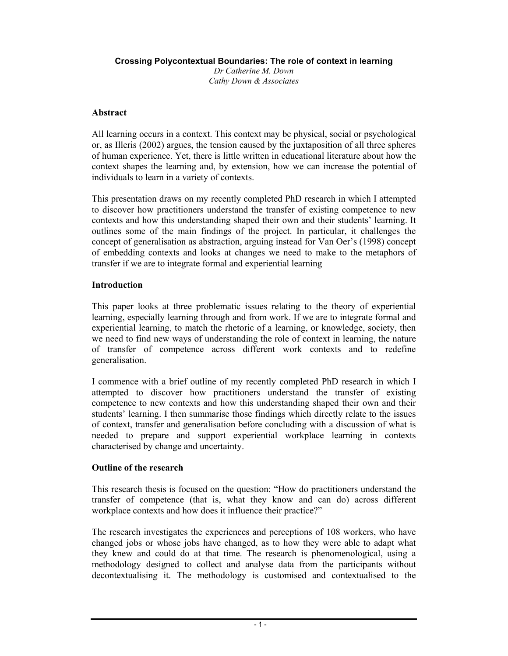**Crossing Polycontextual Boundaries: The role of context in learning**

*Dr Catherine M. Down Cathy Down & Associates*

## **Abstract**

All learning occurs in a context. This context may be physical, social or psychological or, as Illeris (2002) argues, the tension caused by the juxtaposition of all three spheres of human experience. Yet, there is little written in educational literature about how the context shapes the learning and, by extension, how we can increase the potential of individuals to learn in a variety of contexts.

This presentation draws on my recently completed PhD research in which I attempted to discover how practitioners understand the transfer of existing competence to new contexts and how this understanding shaped their own and their students' learning. It outlines some of the main findings of the project. In particular, it challenges the concept of generalisation as abstraction, arguing instead for Van Oer's (1998) concept of embedding contexts and looks at changes we need to make to the metaphors of transfer if we are to integrate formal and experiential learning

## **Introduction**

This paper looks at three problematic issues relating to the theory of experiential learning, especially learning through and from work. If we are to integrate formal and experiential learning, to match the rhetoric of a learning, or knowledge, society, then we need to find new ways of understanding the role of context in learning, the nature of transfer of competence across different work contexts and to redefine generalisation.

I commence with a brief outline of my recently completed PhD research in which I attempted to discover how practitioners understand the transfer of existing competence to new contexts and how this understanding shaped their own and their students' learning. I then summarise those findings which directly relate to the issues of context, transfer and generalisation before concluding with a discussion of what is needed to prepare and support experiential workplace learning in contexts characterised by change and uncertainty.

# **Outline of the research**

This research thesis is focused on the question: "How do practitioners understand the transfer of competence (that is, what they know and can do) across different workplace contexts and how does it influence their practice?"

The research investigates the experiences and perceptions of 108 workers, who have changed jobs or whose jobs have changed, as to how they were able to adapt what they knew and could do at that time. The research is phenomenological, using a methodology designed to collect and analyse data from the participants without decontextualising it. The methodology is customised and contextualised to the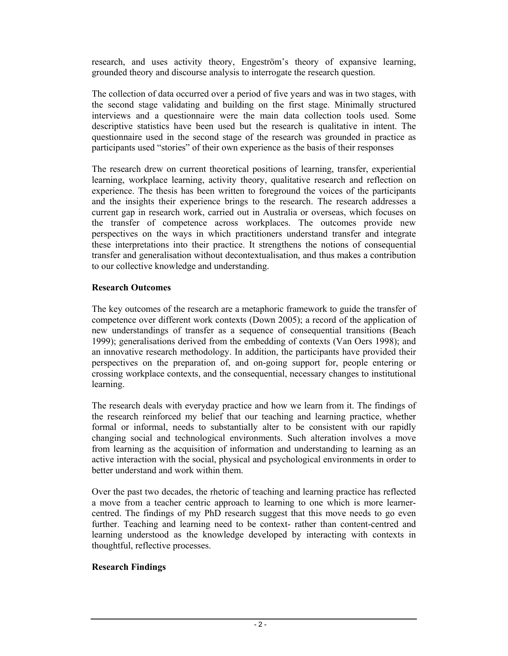research, and uses activity theory, Engeström's theory of expansive learning, grounded theory and discourse analysis to interrogate the research question.

The collection of data occurred over a period of five years and was in two stages, with the second stage validating and building on the first stage. Minimally structured interviews and a questionnaire were the main data collection tools used. Some descriptive statistics have been used but the research is qualitative in intent. The questionnaire used in the second stage of the research was grounded in practice as participants used "stories" of their own experience as the basis of their responses

The research drew on current theoretical positions of learning, transfer, experiential learning, workplace learning, activity theory, qualitative research and reflection on experience. The thesis has been written to foreground the voices of the participants and the insights their experience brings to the research. The research addresses a current gap in research work, carried out in Australia or overseas, which focuses on the transfer of competence across workplaces. The outcomes provide new perspectives on the ways in which practitioners understand transfer and integrate these interpretations into their practice. It strengthens the notions of consequential transfer and generalisation without decontextualisation, and thus makes a contribution to our collective knowledge and understanding.

# **Research Outcomes**

The key outcomes of the research are a metaphoric framework to guide the transfer of competence over different work contexts (Down 2005); a record of the application of new understandings of transfer as a sequence of consequential transitions (Beach 1999); generalisations derived from the embedding of contexts (Van Oers 1998); and an innovative research methodology. In addition, the participants have provided their perspectives on the preparation of, and on-going support for, people entering or crossing workplace contexts, and the consequential, necessary changes to institutional learning.

The research deals with everyday practice and how we learn from it. The findings of the research reinforced my belief that our teaching and learning practice, whether formal or informal, needs to substantially alter to be consistent with our rapidly changing social and technological environments. Such alteration involves a move from learning as the acquisition of information and understanding to learning as an active interaction with the social, physical and psychological environments in order to better understand and work within them.

Over the past two decades, the rhetoric of teaching and learning practice has reflected a move from a teacher centric approach to learning to one which is more learnercentred. The findings of my PhD research suggest that this move needs to go even further. Teaching and learning need to be context- rather than content-centred and learning understood as the knowledge developed by interacting with contexts in thoughtful, reflective processes.

# **Research Findings**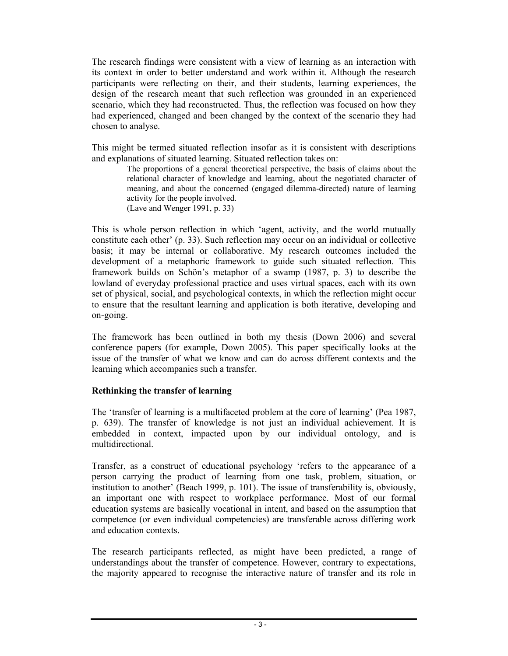The research findings were consistent with a view of learning as an interaction with its context in order to better understand and work within it. Although the research participants were reflecting on their, and their students, learning experiences, the design of the research meant that such reflection was grounded in an experienced scenario, which they had reconstructed. Thus, the reflection was focused on how they had experienced, changed and been changed by the context of the scenario they had chosen to analyse.

This might be termed situated reflection insofar as it is consistent with descriptions and explanations of situated learning. Situated reflection takes on:

The proportions of a general theoretical perspective, the basis of claims about the relational character of knowledge and learning, about the negotiated character of meaning, and about the concerned (engaged dilemma-directed) nature of learning activity for the people involved. (Lave and Wenger 1991, p. 33)

This is whole person reflection in which 'agent, activity, and the world mutually constitute each other' (p. 33). Such reflection may occur on an individual or collective basis; it may be internal or collaborative. My research outcomes included the development of a metaphoric framework to guide such situated reflection. This framework builds on Schön's metaphor of a swamp (1987, p. 3) to describe the lowland of everyday professional practice and uses virtual spaces, each with its own set of physical, social, and psychological contexts, in which the reflection might occur to ensure that the resultant learning and application is both iterative, developing and on-going.

The framework has been outlined in both my thesis (Down 2006) and several conference papers (for example, Down 2005). This paper specifically looks at the issue of the transfer of what we know and can do across different contexts and the learning which accompanies such a transfer.

#### **Rethinking the transfer of learning**

The 'transfer of learning is a multifaceted problem at the core of learning' (Pea 1987, p. 639). The transfer of knowledge is not just an individual achievement. It is embedded in context, impacted upon by our individual ontology, and is multidirectional.

Transfer, as a construct of educational psychology 'refers to the appearance of a person carrying the product of learning from one task, problem, situation, or institution to another' (Beach 1999, p. 101). The issue of transferability is, obviously, an important one with respect to workplace performance. Most of our formal education systems are basically vocational in intent, and based on the assumption that competence (or even individual competencies) are transferable across differing work and education contexts.

The research participants reflected, as might have been predicted, a range of understandings about the transfer of competence. However, contrary to expectations, the majority appeared to recognise the interactive nature of transfer and its role in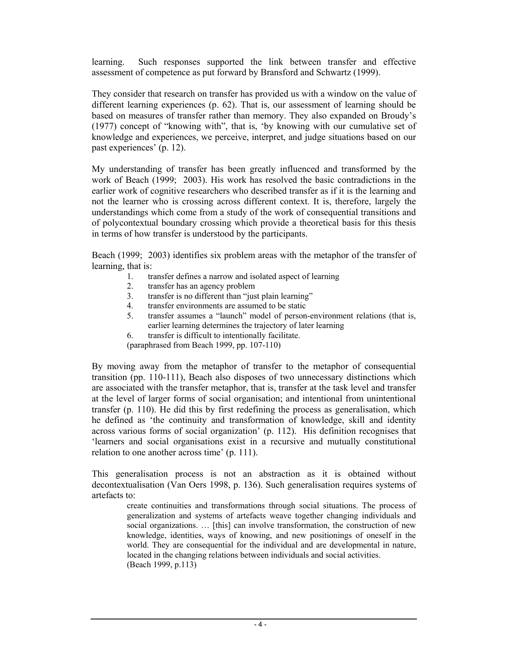learning. Such responses supported the link between transfer and effective assessment of competence as put forward by Bransford and Schwartz (1999).

They consider that research on transfer has provided us with a window on the value of different learning experiences (p. 62). That is, our assessment of learning should be based on measures of transfer rather than memory. They also expanded on Broudy's (1977) concept of "knowing with", that is, 'by knowing with our cumulative set of knowledge and experiences, we perceive, interpret, and judge situations based on our past experiences' (p. 12).

My understanding of transfer has been greatly influenced and transformed by the work of Beach (1999; 2003). His work has resolved the basic contradictions in the earlier work of cognitive researchers who described transfer as if it is the learning and not the learner who is crossing across different context. It is, therefore, largely the understandings which come from a study of the work of consequential transitions and of polycontextual boundary crossing which provide a theoretical basis for this thesis in terms of how transfer is understood by the participants.

Beach (1999; 2003) identifies six problem areas with the metaphor of the transfer of learning, that is:

- 1. transfer defines a narrow and isolated aspect of learning
- 2. transfer has an agency problem
- 3. transfer is no different than "just plain learning"
- 4. transfer environments are assumed to be static
- 5. transfer assumes a "launch" model of person-environment relations (that is, earlier learning determines the trajectory of later learning
- 6. transfer is difficult to intentionally facilitate.
- (paraphrased from Beach 1999, pp. 107-110)

By moving away from the metaphor of transfer to the metaphor of consequential transition (pp. 110-111), Beach also disposes of two unnecessary distinctions which are associated with the transfer metaphor, that is, transfer at the task level and transfer at the level of larger forms of social organisation; and intentional from unintentional transfer (p. 110). He did this by first redefining the process as generalisation, which he defined as 'the continuity and transformation of knowledge, skill and identity across various forms of social organization' (p. 112). His definition recognises that 'learners and social organisations exist in a recursive and mutually constitutional relation to one another across time' (p. 111).

This generalisation process is not an abstraction as it is obtained without decontextualisation (Van Oers 1998, p. 136). Such generalisation requires systems of artefacts to:

> create continuities and transformations through social situations. The process of generalization and systems of artefacts weave together changing individuals and social organizations. … [this] can involve transformation, the construction of new knowledge, identities, ways of knowing, and new positionings of oneself in the world. They are consequential for the individual and are developmental in nature, located in the changing relations between individuals and social activities. (Beach 1999, p.113)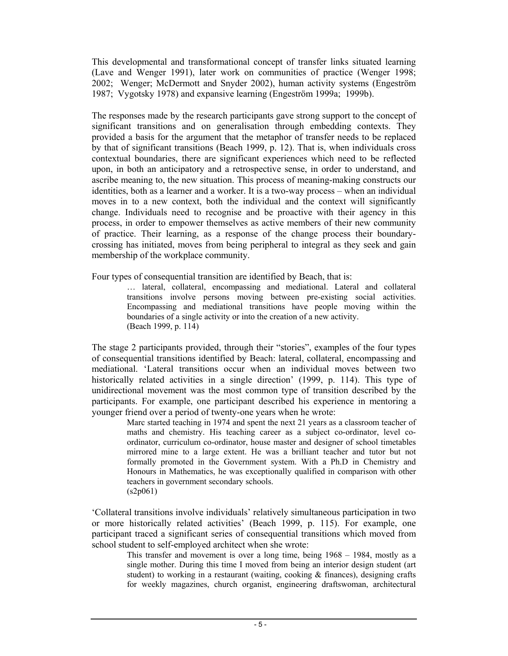This developmental and transformational concept of transfer links situated learning (Lave and Wenger 1991), later work on communities of practice (Wenger 1998; 2002; Wenger; McDermott and Snyder 2002), human activity systems (Engeström 1987; Vygotsky 1978) and expansive learning (Engeström 1999a; 1999b).

The responses made by the research participants gave strong support to the concept of significant transitions and on generalisation through embedding contexts. They provided a basis for the argument that the metaphor of transfer needs to be replaced by that of significant transitions (Beach 1999, p. 12). That is, when individuals cross contextual boundaries, there are significant experiences which need to be reflected upon, in both an anticipatory and a retrospective sense, in order to understand, and ascribe meaning to, the new situation. This process of meaning-making constructs our identities, both as a learner and a worker. It is a two-way process – when an individual moves in to a new context, both the individual and the context will significantly change. Individuals need to recognise and be proactive with their agency in this process, in order to empower themselves as active members of their new community of practice. Their learning, as a response of the change process their boundarycrossing has initiated, moves from being peripheral to integral as they seek and gain membership of the workplace community.

Four types of consequential transition are identified by Beach, that is:

… lateral, collateral, encompassing and mediational. Lateral and collateral transitions involve persons moving between pre-existing social activities. Encompassing and mediational transitions have people moving within the boundaries of a single activity or into the creation of a new activity. (Beach 1999, p. 114)

The stage 2 participants provided, through their "stories", examples of the four types of consequential transitions identified by Beach: lateral, collateral, encompassing and mediational. 'Lateral transitions occur when an individual moves between two historically related activities in a single direction' (1999, p. 114). This type of unidirectional movement was the most common type of transition described by the participants. For example, one participant described his experience in mentoring a younger friend over a period of twenty-one years when he wrote:

Marc started teaching in 1974 and spent the next 21 years as a classroom teacher of maths and chemistry. His teaching career as a subject co-ordinator, level coordinator, curriculum co-ordinator, house master and designer of school timetables mirrored mine to a large extent. He was a brilliant teacher and tutor but not formally promoted in the Government system. With a Ph.D in Chemistry and Honours in Mathematics, he was exceptionally qualified in comparison with other teachers in government secondary schools.  $(s2p061)$ 

'Collateral transitions involve individuals' relatively simultaneous participation in two or more historically related activities' (Beach 1999, p. 115). For example, one participant traced a significant series of consequential transitions which moved from school student to self-employed architect when she wrote:

This transfer and movement is over a long time, being 1968 – 1984, mostly as a single mother. During this time I moved from being an interior design student (art student) to working in a restaurant (waiting, cooking  $\&$  finances), designing crafts for weekly magazines, church organist, engineering draftswoman, architectural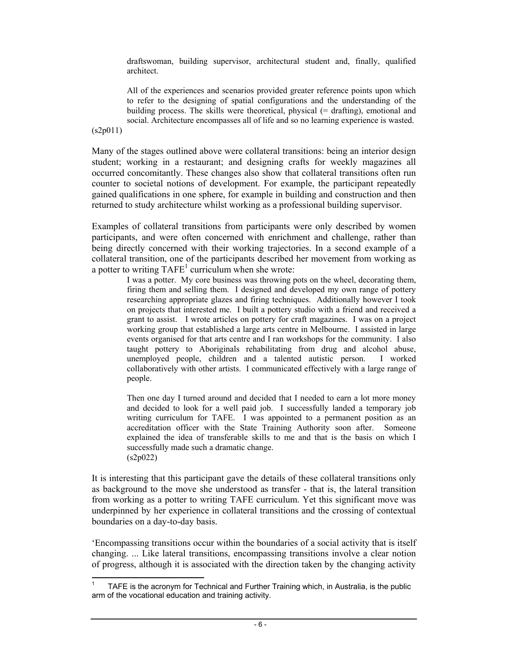draftswoman, building supervisor, architectural student and, finally, qualified architect.

All of the experiences and scenarios provided greater reference points upon which to refer to the designing of spatial configurations and the understanding of the building process. The skills were theoretical, physical (= drafting), emotional and social. Architecture encompasses all of life and so no learning experience is wasted.

(s2p011)

Many of the stages outlined above were collateral transitions: being an interior design student; working in a restaurant; and designing crafts for weekly magazines all occurred concomitantly. These changes also show that collateral transitions often run counter to societal notions of development. For example, the participant repeatedly gained qualifications in one sphere, for example in building and construction and then returned to study architecture whilst working as a professional building supervisor.

Examples of collateral transitions from participants were only described by women participants, and were often concerned with enrichment and challenge, rather than being directly concerned with their working trajectories. In a second example of a collateral transition, one of the participants described her movement from working as a potter to writing  $TAFE<sup>1</sup>$  curriculum when she wrote:

> I was a potter. My core business was throwing pots on the wheel, decorating them, firing them and selling them. I designed and developed my own range of pottery researching appropriate glazes and firing techniques. Additionally however I took on projects that interested me. I built a pottery studio with a friend and received a grant to assist. I wrote articles on pottery for craft magazines. I was on a project working group that established a large arts centre in Melbourne. I assisted in large events organised for that arts centre and I ran workshops for the community. I also taught pottery to Aboriginals rehabilitating from drug and alcohol abuse, unemployed people, children and a talented autistic person. I worked collaboratively with other artists. I communicated effectively with a large range of people.

> Then one day I turned around and decided that I needed to earn a lot more money and decided to look for a well paid job. I successfully landed a temporary job writing curriculum for TAFE. I was appointed to a permanent position as an accreditation officer with the State Training Authority soon after. Someone explained the idea of transferable skills to me and that is the basis on which I successfully made such a dramatic change. (s2p022)

It is interesting that this participant gave the details of these collateral transitions only as background to the move she understood as transfer - that is, the lateral transition from working as a potter to writing TAFE curriculum. Yet this significant move was underpinned by her experience in collateral transitions and the crossing of contextual boundaries on a day-to-day basis.

'Encompassing transitions occur within the boundaries of a social activity that is itself changing. ... Like lateral transitions, encompassing transitions involve a clear notion of progress, although it is associated with the direction taken by the changing activity

l 1 TAFE is the acronym for Technical and Further Training which, in Australia, is the public arm of the vocational education and training activity.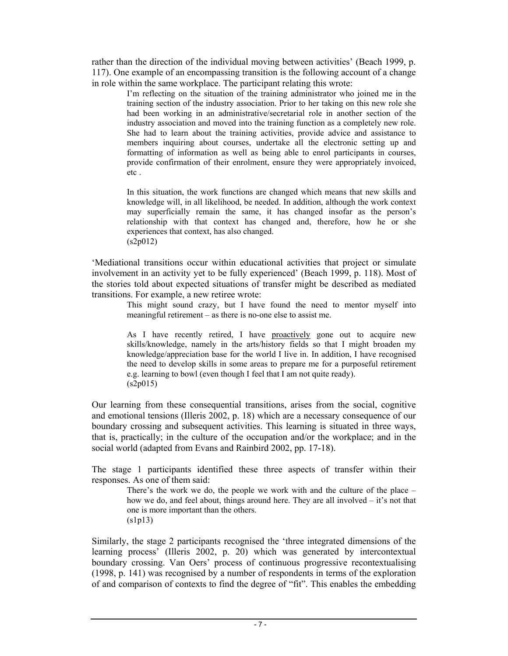rather than the direction of the individual moving between activities' (Beach 1999, p. 117). One example of an encompassing transition is the following account of a change in role within the same workplace. The participant relating this wrote:

I'm reflecting on the situation of the training administrator who joined me in the training section of the industry association. Prior to her taking on this new role she had been working in an administrative/secretarial role in another section of the industry association and moved into the training function as a completely new role. She had to learn about the training activities, provide advice and assistance to members inquiring about courses, undertake all the electronic setting up and formatting of information as well as being able to enrol participants in courses, provide confirmation of their enrolment, ensure they were appropriately invoiced, etc .

In this situation, the work functions are changed which means that new skills and knowledge will, in all likelihood, be needed. In addition, although the work context may superficially remain the same, it has changed insofar as the person's relationship with that context has changed and, therefore, how he or she experiences that context, has also changed.  $(s2p012)$ 

'Mediational transitions occur within educational activities that project or simulate involvement in an activity yet to be fully experienced' (Beach 1999, p. 118). Most of the stories told about expected situations of transfer might be described as mediated transitions. For example, a new retiree wrote:

> This might sound crazy, but I have found the need to mentor myself into meaningful retirement – as there is no-one else to assist me.

> As I have recently retired, I have proactively gone out to acquire new skills/knowledge, namely in the arts/history fields so that I might broaden my knowledge/appreciation base for the world I live in. In addition, I have recognised the need to develop skills in some areas to prepare me for a purposeful retirement e.g. learning to bowl (even though I feel that I am not quite ready).  $(s2p015)$

Our learning from these consequential transitions, arises from the social, cognitive and emotional tensions (Illeris 2002, p. 18) which are a necessary consequence of our boundary crossing and subsequent activities. This learning is situated in three ways, that is, practically; in the culture of the occupation and/or the workplace; and in the social world (adapted from Evans and Rainbird 2002, pp. 17-18).

The stage 1 participants identified these three aspects of transfer within their responses. As one of them said:

There's the work we do, the people we work with and the culture of the place – how we do, and feel about, things around here. They are all involved – it's not that one is more important than the others. (s1p13)

Similarly, the stage 2 participants recognised the 'three integrated dimensions of the learning process' (Illeris 2002, p. 20) which was generated by intercontextual boundary crossing. Van Oers' process of continuous progressive recontextualising (1998, p. 141) was recognised by a number of respondents in terms of the exploration of and comparison of contexts to find the degree of "fit". This enables the embedding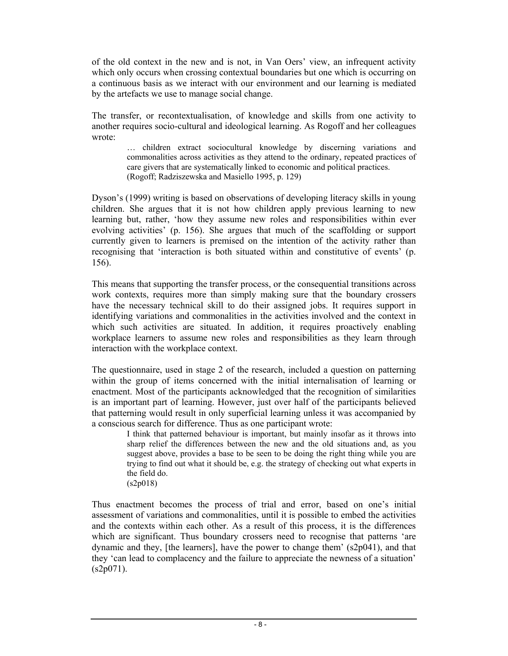of the old context in the new and is not, in Van Oers' view, an infrequent activity which only occurs when crossing contextual boundaries but one which is occurring on a continuous basis as we interact with our environment and our learning is mediated by the artefacts we use to manage social change.

The transfer, or recontextualisation, of knowledge and skills from one activity to another requires socio-cultural and ideological learning. As Rogoff and her colleagues wrote:

> … children extract sociocultural knowledge by discerning variations and commonalities across activities as they attend to the ordinary, repeated practices of care givers that are systematically linked to economic and political practices. (Rogoff; Radziszewska and Masiello 1995, p. 129)

Dyson's (1999) writing is based on observations of developing literacy skills in young children. She argues that it is not how children apply previous learning to new learning but, rather, 'how they assume new roles and responsibilities within ever evolving activities' (p. 156). She argues that much of the scaffolding or support currently given to learners is premised on the intention of the activity rather than recognising that 'interaction is both situated within and constitutive of events' (p. 156).

This means that supporting the transfer process, or the consequential transitions across work contexts, requires more than simply making sure that the boundary crossers have the necessary technical skill to do their assigned jobs. It requires support in identifying variations and commonalities in the activities involved and the context in which such activities are situated. In addition, it requires proactively enabling workplace learners to assume new roles and responsibilities as they learn through interaction with the workplace context.

The questionnaire, used in stage 2 of the research, included a question on patterning within the group of items concerned with the initial internalisation of learning or enactment. Most of the participants acknowledged that the recognition of similarities is an important part of learning. However, just over half of the participants believed that patterning would result in only superficial learning unless it was accompanied by a conscious search for difference. Thus as one participant wrote:

I think that patterned behaviour is important, but mainly insofar as it throws into sharp relief the differences between the new and the old situations and, as you suggest above, provides a base to be seen to be doing the right thing while you are trying to find out what it should be, e.g. the strategy of checking out what experts in the field do. (s2p018)

Thus enactment becomes the process of trial and error, based on one's initial assessment of variations and commonalities, until it is possible to embed the activities and the contexts within each other. As a result of this process, it is the differences which are significant. Thus boundary crossers need to recognise that patterns 'are dynamic and they, [the learners], have the power to change them'  $(s2p041)$ , and that they 'can lead to complacency and the failure to appreciate the newness of a situation'  $(s2p071)$ .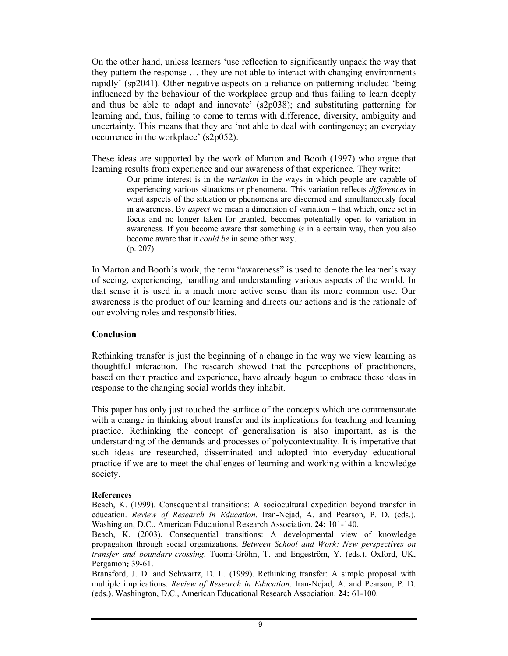On the other hand, unless learners 'use reflection to significantly unpack the way that they pattern the response … they are not able to interact with changing environments rapidly' (sp2041). Other negative aspects on a reliance on patterning included 'being influenced by the behaviour of the workplace group and thus failing to learn deeply and thus be able to adapt and innovate' (s2p038); and substituting patterning for learning and, thus, failing to come to terms with difference, diversity, ambiguity and uncertainty. This means that they are 'not able to deal with contingency; an everyday occurrence in the workplace' (s2p052).

These ideas are supported by the work of Marton and Booth (1997) who argue that learning results from experience and our awareness of that experience. They write:

> Our prime interest is in the *variation* in the ways in which people are capable of experiencing various situations or phenomena. This variation reflects *differences* in what aspects of the situation or phenomena are discerned and simultaneously focal in awareness. By *aspect* we mean a dimension of variation – that which, once set in focus and no longer taken for granted, becomes potentially open to variation in awareness. If you become aware that something *is* in a certain way, then you also become aware that it *could be* in some other way. (p. 207)

In Marton and Booth's work, the term "awareness" is used to denote the learner's way of seeing, experiencing, handling and understanding various aspects of the world. In that sense it is used in a much more active sense than its more common use. Our awareness is the product of our learning and directs our actions and is the rationale of our evolving roles and responsibilities.

#### **Conclusion**

Rethinking transfer is just the beginning of a change in the way we view learning as thoughtful interaction. The research showed that the perceptions of practitioners, based on their practice and experience, have already begun to embrace these ideas in response to the changing social worlds they inhabit.

This paper has only just touched the surface of the concepts which are commensurate with a change in thinking about transfer and its implications for teaching and learning practice. Rethinking the concept of generalisation is also important, as is the understanding of the demands and processes of polycontextuality. It is imperative that such ideas are researched, disseminated and adopted into everyday educational practice if we are to meet the challenges of learning and working within a knowledge society.

#### **References**

Beach, K. (1999). Consequential transitions: A sociocultural expedition beyond transfer in education. *Review of Research in Education*. Iran-Nejad, A. and Pearson, P. D. (eds.). Washington, D.C., American Educational Research Association. **24:** 101-140.

Beach, K. (2003). Consequential transitions: A developmental view of knowledge propagation through social organizations. *Between School and Work: New perspectives on transfer and boundary-crossing*. Tuomi-Gröhn, T. and Engeström, Y. (eds.). Oxford, UK, Pergamon**:** 39-61.

Bransford, J. D. and Schwartz, D. L. (1999). Rethinking transfer: A simple proposal with multiple implications. *Review of Research in Education*. Iran-Nejad, A. and Pearson, P. D. (eds.). Washington, D.C., American Educational Research Association. **24:** 61-100.